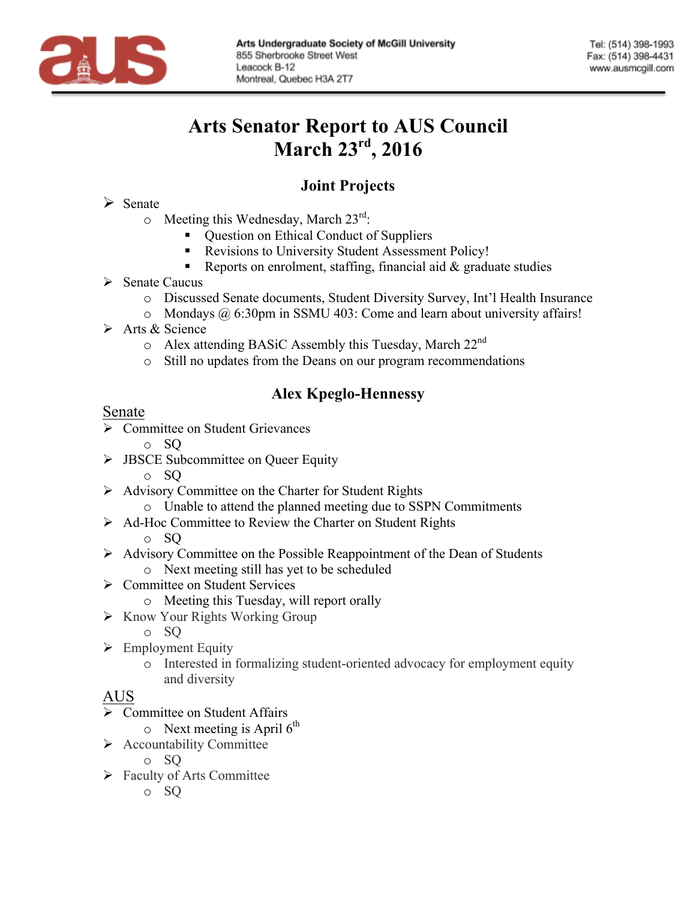

# **Arts Senator Report to AUS Council March 23rd , 2016**

# **Joint Projects**

#### $\triangleright$  Senate

- $\circ$  Meeting this Wednesday, March 23<sup>rd</sup>:
	- Question on Ethical Conduct of Suppliers
	- § Revisions to University Student Assessment Policy!
	- Reports on enrolment, staffing, financial aid  $\&$  graduate studies
- $\triangleright$  Senate Caucus
	- o Discussed Senate documents, Student Diversity Survey, Int'l Health Insurance
	- o Mondays @ 6:30pm in SSMU 403: Come and learn about university affairs!
- $\triangleright$  Arts & Science
	- $\circ$  Alex attending BASiC Assembly this Tuesday, March 22<sup>nd</sup>
	- o Still no updates from the Deans on our program recommendations

# **Alex Kpeglo-Hennessy**

#### Senate

- $\triangleright$  Committee on Student Grievances
	- o SQ
- $\triangleright$  JBSCE Subcommittee on Queer Equity
	- o SQ
- $\triangleright$  Advisory Committee on the Charter for Student Rights
	- o Unable to attend the planned meeting due to SSPN Commitments
- Ø Ad-Hoc Committee to Review the Charter on Student Rights
	- o SQ
- $\triangleright$  Advisory Committee on the Possible Reappointment of the Dean of Students
	- o Next meeting still has yet to be scheduled
- $\triangleright$  Committee on Student Services
	- o Meeting this Tuesday, will report orally
- $\triangleright$  Know Your Rights Working Group
	- o SQ
- $\triangleright$  Employment Equity
	- o Interested in formalizing student-oriented advocacy for employment equity and diversity

## AUS

- $\triangleright$  Committee on Student Affairs
	- $\circ$  Next meeting is April 6<sup>th</sup>
- $\triangleright$  Accountability Committee
	- o SQ
- $\triangleright$  Faculty of Arts Committee
	- o SQ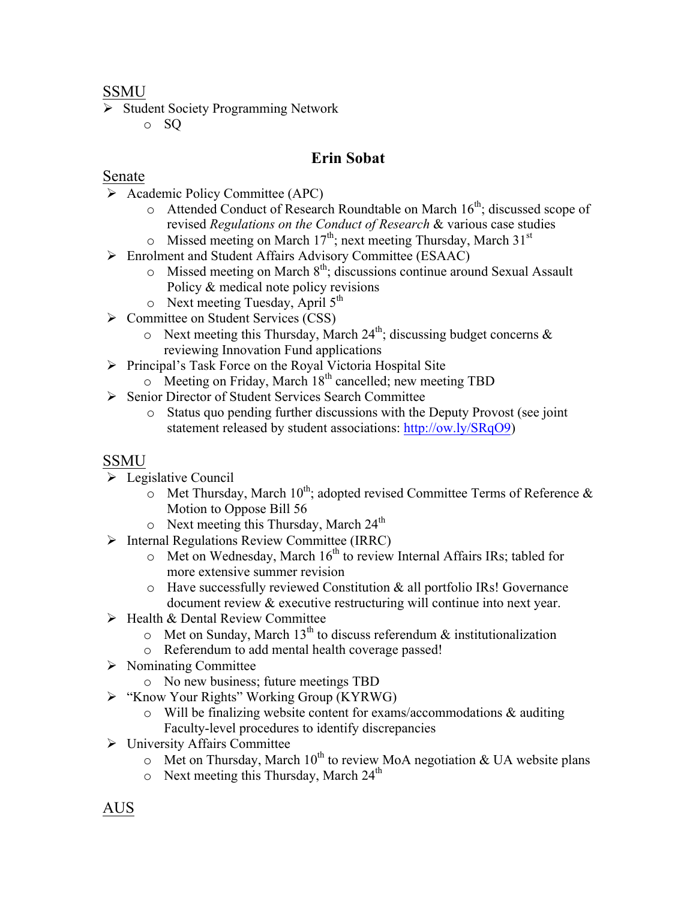#### SSMU

- Ø Student Society Programming Network
	- o SQ

## **Erin Sobat**

## Senate

- $\triangleright$  Academic Policy Committee (APC)
	- o Attended Conduct of Research Roundtable on March 16<sup>th</sup>; discussed scope of revised *Regulations on the Conduct of Research* & various case studies
		- Missed meeting on March 17<sup>th</sup>; next meeting Thursday, March 31<sup>st</sup>
- Ø Enrolment and Student Affairs Advisory Committee (ESAAC)
	- $\circ$  Missed meeting on March  $8<sup>th</sup>$ ; discussions continue around Sexual Assault Policy & medical note policy revisions
	- $\circ$  Next meeting Tuesday, April  $5<sup>th</sup>$
- Ø Committee on Student Services (CSS)
	- $\circ$  Next meeting this Thursday, March 24<sup>th</sup>; discussing budget concerns & reviewing Innovation Fund applications
- $\triangleright$  Principal's Task Force on the Royal Victoria Hospital Site
	- $\circ$  Meeting on Friday, March 18<sup>th</sup> cancelled; new meeting TBD
- Ø Senior Director of Student Services Search Committee
	- o Status quo pending further discussions with the Deputy Provost (see joint statement released by student associations: http://ow.ly/SRqO9)

## SSMU

- $\triangleright$  Legislative Council
	- $\sim$  Met Thursday, March 10<sup>th</sup>; adopted revised Committee Terms of Reference & Motion to Oppose Bill 56
	- $\circ$  Next meeting this Thursday, March 24<sup>th</sup>
- Ø Internal Regulations Review Committee (IRRC)
	- $\circ$  Met on Wednesday, March 16<sup>th</sup> to review Internal Affairs IRs; tabled for more extensive summer revision
	- o Have successfully reviewed Constitution & all portfolio IRs! Governance document review & executive restructuring will continue into next year.
- $\triangleright$  Health & Dental Review Committee
	- $\circ$  Met on Sunday, March 13<sup>th</sup> to discuss referendum & institutionalization
	- o Referendum to add mental health coverage passed!
- $\triangleright$  Nominating Committee
	- o No new business; future meetings TBD
- Ø "Know Your Rights" Working Group (KYRWG)
	- $\circ$  Will be finalizing website content for exams/accommodations & auditing Faculty-level procedures to identify discrepancies
- $\triangleright$  University Affairs Committee
	- $\circ$  Met on Thursday, March 10<sup>th</sup> to review MoA negotiation & UA website plans
	- $\circ$  Next meeting this Thursday, March 24<sup>th</sup>